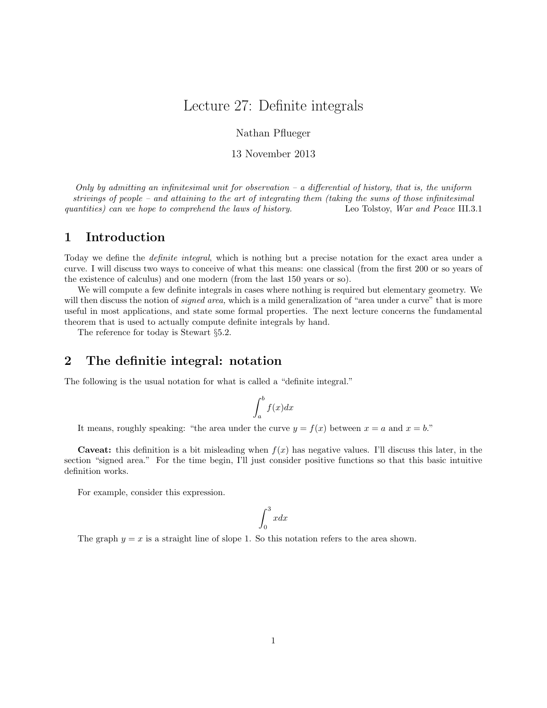# Lecture 27: Definite integrals

Nathan Pflueger

#### 13 November 2013

Only by admitting an infinitesimal unit for observation  $-a$  differential of history, that is, the uniform strivings of people – and attaining to the art of integrating them (taking the sums of those infinitesimal quantities) can we hope to comprehend the laws of history. Leo Tolstoy, War and Peace III.3.1

## 1 Introduction

Today we define the definite integral, which is nothing but a precise notation for the exact area under a curve. I will discuss two ways to conceive of what this means: one classical (from the first 200 or so years of the existence of calculus) and one modern (from the last 150 years or so).

We will compute a few definite integrals in cases where nothing is required but elementary geometry. We will then discuss the notion of *signed area*, which is a mild generalization of "area under a curve" that is more useful in most applications, and state some formal properties. The next lecture concerns the fundamental theorem that is used to actually compute definite integrals by hand.

The reference for today is Stewart §5.2.

## 2 The definitie integral: notation

The following is the usual notation for what is called a "definite integral."

$$
\int_{a}^{b} f(x)dx
$$

It means, roughly speaking: "the area under the curve  $y = f(x)$  between  $x = a$  and  $x = b$ ."

**Caveat:** this definition is a bit misleading when  $f(x)$  has negative values. I'll discuss this later, in the section "signed area." For the time begin, I'll just consider positive functions so that this basic intuitive definition works.

For example, consider this expression.

$$
\int_0^3 x dx
$$

The graph  $y = x$  is a straight line of slope 1. So this notation refers to the area shown.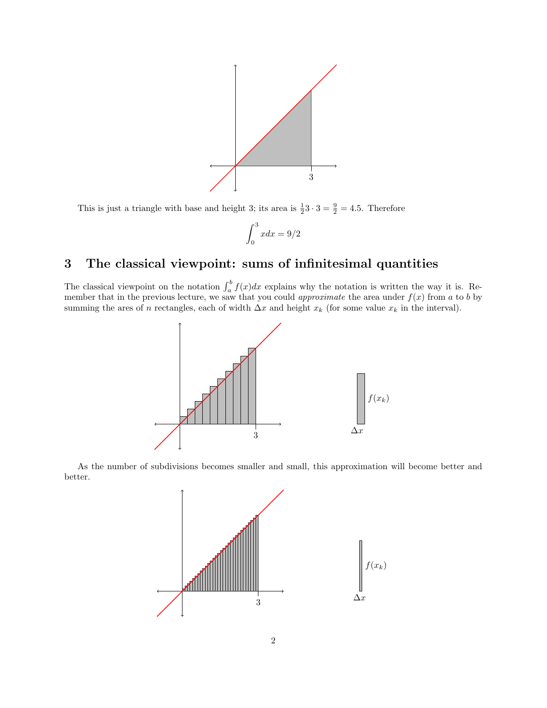

This is just a triangle with base and height 3; its area is  $\frac{1}{2}3 \cdot 3 = \frac{9}{2} = 4.5$ . Therefore

$$
\int_0^3 x dx = 9/2
$$

## 3 The classical viewpoint: sums of infinitesimal quantities

The classical viewpoint on the notation  $\int_a^b f(x)dx$  explains why the notation is written the way it is. Remember that in the previous lecture, we saw that you could *approximate* the area under  $f(x)$  from a to b by summing the ares of n rectangles, each of width  $\Delta x$  and height  $x_k$  (for some value  $x_k$  in the interval).



As the number of subdivisions becomes smaller and small, this approximation will become better and better.

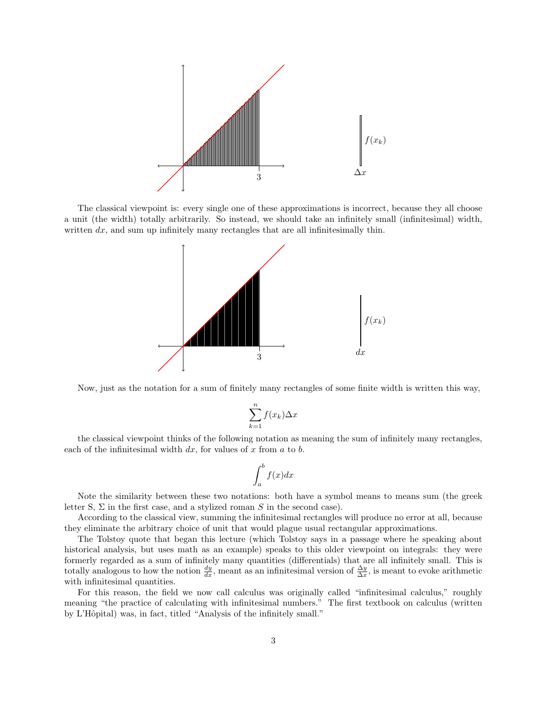

The classical viewpoint is: every single one of these approximations is incorrect, because they all choose a unit (the width) totally arbitrarily. So instead, we should take an infinitely small (infinitesimal) width, written  $dx$ , and sum up infinitely many rectangles that are all infinitesimally thin.



Now, just as the notation for a sum of finitely many rectangles of some finite width is written this way,

$$
\sum_{k=1}^{n} f(x_k) \Delta x
$$

the classical viewpoint thinks of the following notation as meaning the sum of infinitely many rectangles, each of the infinitesimal width  $dx$ , for values of x from  $a$  to  $b$ .

$$
\int_{a}^{b} f(x)dx
$$

Note the similarity between these two notations: both have a symbol means to means sum (the greek letter S,  $\Sigma$  in the first case, and a stylized roman S in the second case).

According to the classical view, summing the infinitesimal rectangles will produce no error at all, because they eliminate the arbitrary choice of unit that would plague usual rectangular approximations.

The Tolstoy quote that began this lecture (which Tolstoy says in a passage where he speaking about historical analysis, but uses math as an example) speaks to this older viewpoint on integrals: they were formerly regarded as a sum of infinitely many quantities (differentials) that are all infinitely small. This is totally analogous to how the notion  $\frac{dy}{dx}$ , meant as an infinitesimal version of  $\frac{\Delta y}{\Delta x}$ , is meant to evoke arithmetic with infinitesimal quantities.

For this reason, the field we now call calculus was originally called "infinitesimal calculus," roughly meaning "the practice of calculating with infinitesimal numbers." The first textbook on calculus (written by L'Hôpital) was, in fact, titled "Analysis of the infinitely small."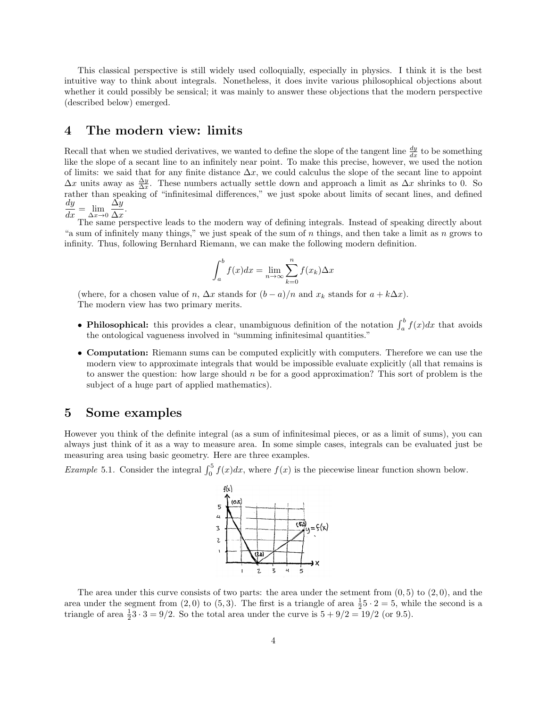This classical perspective is still widely used colloquially, especially in physics. I think it is the best intuitive way to think about integrals. Nonetheless, it does invite various philosophical objections about whether it could possibly be sensical; it was mainly to answer these objections that the modern perspective (described below) emerged.

### 4 The modern view: limits

Recall that when we studied derivatives, we wanted to define the slope of the tangent line  $\frac{dy}{dx}$  to be something like the slope of a secant line to an infinitely near point. To make this precise, however, we used the notion of limits: we said that for any finite distance  $\Delta x$ , we could calculus the slope of the secant line to appoint  $\Delta x$  units away as  $\frac{\Delta y}{\Delta x}$ . These numbers actually settle down and approach a limit as  $\Delta x$  shrinks to 0. So rather than speaking of "infinitesimal differences," we just spoke about limits of secant lines, and defined  $\frac{dy}{dx} = \lim_{\Delta x \to 0}$  $\Delta y$  $\frac{\Delta y}{\Delta x}$ .

The same perspective leads to the modern way of defining integrals. Instead of speaking directly about "a sum of infinitely many things," we just speak of the sum of n things, and then take a limit as n grows to infinity. Thus, following Bernhard Riemann, we can make the following modern definition.

$$
\int_{a}^{b} f(x)dx = \lim_{n \to \infty} \sum_{k=0}^{n} f(x_k) \Delta x
$$

(where, for a chosen value of n,  $\Delta x$  stands for  $(b-a)/n$  and  $x_k$  stands for  $a+k\Delta x$ ). The modern view has two primary merits.

- Philosophical: this provides a clear, unambiguous definition of the notation  $\int_a^b f(x)dx$  that avoids the ontological vagueness involved in "summing infinitesimal quantities."
- Computation: Riemann sums can be computed explicitly with computers. Therefore we can use the modern view to approximate integrals that would be impossible evaluate explicitly (all that remains is to answer the question: how large should  $n$  be for a good approximation? This sort of problem is the subject of a huge part of applied mathematics).

### 5 Some examples

However you think of the definite integral (as a sum of infinitesimal pieces, or as a limit of sums), you can always just think of it as a way to measure area. In some simple cases, integrals can be evaluated just be measuring area using basic geometry. Here are three examples.

*Example* 5.1. Consider the integral  $\int_0^5 f(x)dx$ , where  $f(x)$  is the piecewise linear function shown below.



The area under this curve consists of two parts: the area under the setment from  $(0, 5)$  to  $(2, 0)$ , and the area under the segment from  $(2,0)$  to  $(5,3)$ . The first is a triangle of area  $\frac{1}{2}5 \cdot 2 = 5$ , while the second is a triangle of area  $\frac{1}{2}3 \cdot 3 = 9/2$ . So the total area under the curve is  $5 + 9/2 = 19/2$  (or 9.5).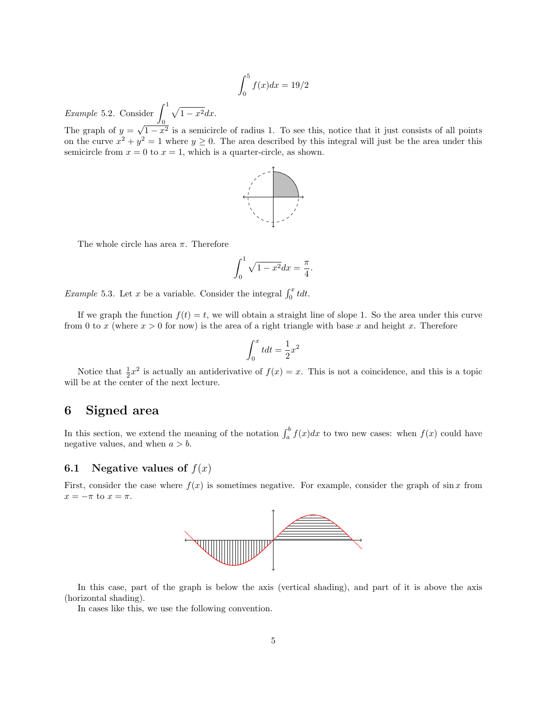$$
\int_0^5 f(x)dx = 19/2
$$

*Example* 5.2. Consider  $\int_1^1$ 0  $\sqrt{1-x^2}dx$ . √

The graph of  $y =$  $1-x^2$  is a semicircle of radius 1. To see this, notice that it just consists of all points on the curve  $x^2 + y^2 = 1$  where  $y \ge 0$ . The area described by this integral will just be the area under this semicircle from  $x = 0$  to  $x = 1$ , which is a quarter-circle, as shown.



The whole circle has area  $\pi$ . Therefore

$$
\int_0^1 \sqrt{1-x^2} dx = \frac{\pi}{4}.
$$

*Example* 5.3. Let x be a variable. Consider the integral  $\int_0^x t dt$ .

If we graph the function  $f(t) = t$ , we will obtain a straight line of slope 1. So the area under this curve from 0 to x (where  $x > 0$  for now) is the area of a right triangle with base x and height x. Therefore

$$
\int_0^x t dt = \frac{1}{2}x^2
$$

Notice that  $\frac{1}{2}x^2$  is actually an antiderivative of  $f(x) = x$ . This is not a coincidence, and this is a topic will be at the center of the next lecture.

## 6 Signed area

In this section, we extend the meaning of the notation  $\int_a^b f(x)dx$  to two new cases: when  $f(x)$  could have negative values, and when  $a > b$ .

#### 6.1 Negative values of  $f(x)$

First, consider the case where  $f(x)$  is sometimes negative. For example, consider the graph of sin x from  $x = -\pi$  to  $x = \pi$ .



In this case, part of the graph is below the axis (vertical shading), and part of it is above the axis (horizontal shading).

In cases like this, we use the following convention.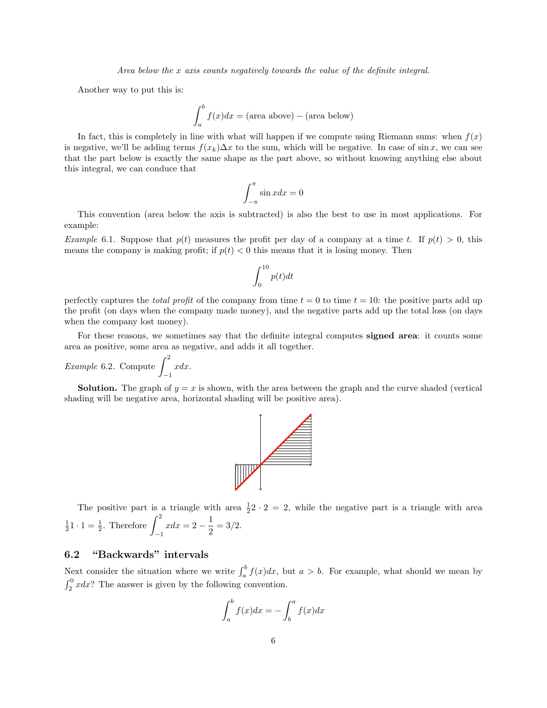Area below the x axis counts negatively towards the value of the definite integral.

Another way to put this is:

$$
\int_{a}^{b} f(x)dx = \text{(area above)} - \text{(area below)}
$$

In fact, this is completely in line with what will happen if we compute using Riemann sums: when  $f(x)$ is negative, we'll be adding terms  $f(x_k)\Delta x$  to the sum, which will be negative. In case of sin x, we can see that the part below is exactly the same shape as the part above, so without knowing anything else about this integral, we can conduce that

$$
\int_{-\pi}^{\pi} \sin x dx = 0
$$

This convention (area below the axis is subtracted) is also the best to use in most applications. For example:

Example 6.1. Suppose that  $p(t)$  measures the profit per day of a company at a time t. If  $p(t) > 0$ , this means the company is making profit; if  $p(t) < 0$  this means that it is losing money. Then

$$
\int_0^{10} p(t) dt
$$

perfectly captures the total profit of the company from time  $t = 0$  to time  $t = 10$ : the positive parts add up the profit (on days when the company made money), and the negative parts add up the total loss (on days when the company lost money).

For these reasons, we sometimes say that the definite integral computes signed area: it counts some area as positive, some area as negative, and adds it all together.

Example 6.2. Compute 
$$
\int_{-1}^{2} x dx
$$
.

**Solution.** The graph of  $y = x$  is shown, with the area between the graph and the curve shaded (vertical shading will be negative area, horizontal shading will be positive area).



The positive part is a triangle with area  $\frac{1}{2}$   $\cdot$  2 = 2, while the negative part is a triangle with area  $\frac{1}{2}$ 1 · 1 =  $\frac{1}{2}$ . Therefore  $\int_{-1}^{2}$ −1  $xdx = 2 - \frac{1}{2}$  $\frac{1}{2} = 3/2.$ 

#### 6.2 "Backwards" intervals

Next consider the situation where we write  $\int_a^b f(x)dx$ , but  $a > b$ . For example, what should we mean by  $\int_2^0 x dx$ ? The answer is given by the following convention.

$$
\int_{a}^{b} f(x)dx = -\int_{b}^{a} f(x)dx
$$